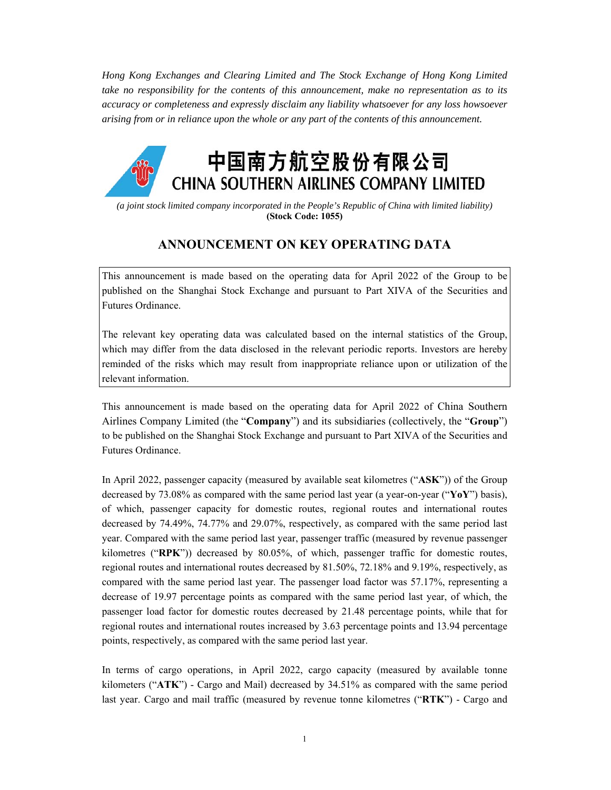*Hong Kong Exchanges and Clearing Limited and The Stock Exchange of Hong Kong Limited take no responsibility for the contents of this announcement, make no representation as to its accuracy or completeness and expressly disclaim any liability whatsoever for any loss howsoever arising from or in reliance upon the whole or any part of the contents of this announcement.* 



*(a joint stock limited company incorporated in the People's Republic of China with limited liability)*  **(Stock Code: 1055)** 

## **ANNOUNCEMENT ON KEY OPERATING DATA**

This announcement is made based on the operating data for April 2022 of the Group to be published on the Shanghai Stock Exchange and pursuant to Part XIVA of the Securities and Futures Ordinance.

The relevant key operating data was calculated based on the internal statistics of the Group, which may differ from the data disclosed in the relevant periodic reports. Investors are hereby reminded of the risks which may result from inappropriate reliance upon or utilization of the relevant information.

This announcement is made based on the operating data for April 2022 of China Southern Airlines Company Limited (the "**Company**") and its subsidiaries (collectively, the "**Group**") to be published on the Shanghai Stock Exchange and pursuant to Part XIVA of the Securities and Futures Ordinance.

In April 2022, passenger capacity (measured by available seat kilometres ("**ASK**")) of the Group decreased by 73.08% as compared with the same period last year (a year-on-year ("**YoY**") basis), of which, passenger capacity for domestic routes, regional routes and international routes decreased by 74.49%, 74.77% and 29.07%, respectively, as compared with the same period last year. Compared with the same period last year, passenger traffic (measured by revenue passenger kilometres ("**RPK**")) decreased by 80.05%, of which, passenger traffic for domestic routes, regional routes and international routes decreased by 81.50%, 72.18% and 9.19%, respectively, as compared with the same period last year. The passenger load factor was 57.17%, representing a decrease of 19.97 percentage points as compared with the same period last year, of which, the passenger load factor for domestic routes decreased by 21.48 percentage points, while that for regional routes and international routes increased by 3.63 percentage points and 13.94 percentage points, respectively, as compared with the same period last year.

In terms of cargo operations, in April 2022, cargo capacity (measured by available tonne kilometers ("**ATK**") - Cargo and Mail) decreased by 34.51% as compared with the same period last year. Cargo and mail traffic (measured by revenue tonne kilometres ("**RTK**") - Cargo and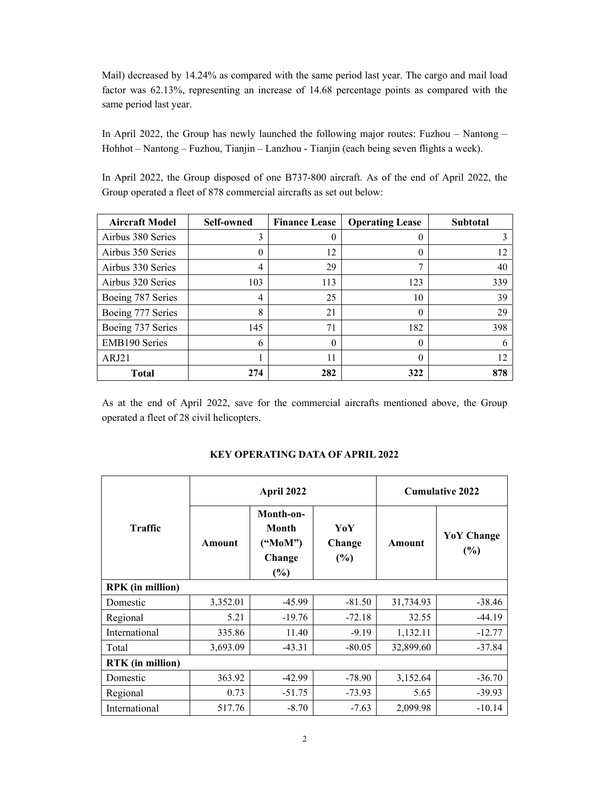Mail) decreased by 14.24% as compared with the same period last year. The cargo and mail load factor was 62.13%, representing an increase of 14.68 percentage points as compared with the same period last year.

In April 2022, the Group has newly launched the following major routes: Fuzhou – Nantong – Hohhot – Nantong – Fuzhou, Tianjin – Lanzhou - Tianjin (each being seven flights a week).

In April 2022, the Group disposed of one B737-800 aircraft. As of the end of April 2022, the Group operated a fleet of 878 commercial aircrafts as set out below:

| <b>Aircraft Model</b> | <b>Self-owned</b> | <b>Finance Lease</b> | <b>Operating Lease</b> | <b>Subtotal</b> |
|-----------------------|-------------------|----------------------|------------------------|-----------------|
| Airbus 380 Series     | 3                 | 0                    | 0                      |                 |
| Airbus 350 Series     |                   | 12                   | 0                      | 12              |
| Airbus 330 Series     | 4                 | 29                   | 7                      | 40              |
| Airbus 320 Series     | 103               | 113                  | 123                    | 339             |
| Boeing 787 Series     | 4                 | 25                   | 10                     | 39              |
| Boeing 777 Series     | 8                 | 21                   | 0                      | 29              |
| Boeing 737 Series     | 145               | 71                   | 182                    | 398             |
| EMB190 Series         | 6                 | $\theta$             | 0                      | 6               |
| ARJ21                 |                   | 11                   | 0                      | 12              |
| Total                 | 274               | 282                  | 322                    | 878             |

As at the end of April 2022, save for the commercial aircrafts mentioned above, the Group operated a fleet of 28 civil helicopters.

|                         |          | April 2022                                     |                      | <b>Cumulative 2022</b> |                          |  |
|-------------------------|----------|------------------------------------------------|----------------------|------------------------|--------------------------|--|
| Traffic                 | Amount   | Month-on-<br>Month<br>("MoM")<br>Change<br>(%) | YoY<br>Change<br>(%) | Amount                 | <b>YoY</b> Change<br>(%) |  |
| <b>RPK</b> (in million) |          |                                                |                      |                        |                          |  |
| Domestic                | 3,352.01 | $-45.99$                                       | $-81.50$             | 31,734.93              | $-38.46$                 |  |
| Regional                | 5.21     | $-19.76$                                       | $-72.18$             | 32.55                  | $-44.19$                 |  |
| International           | 335.86   | 11.40                                          | $-9.19$              | 1,132.11               | $-12.77$                 |  |
| Total                   | 3,693.09 | $-43.31$                                       | $-80.05$             | 32,899.60              | $-37.84$                 |  |
| <b>RTK</b> (in million) |          |                                                |                      |                        |                          |  |
| Domestic                | 363.92   | $-42.99$                                       | $-78.90$             | 3,152.64               | $-36.70$                 |  |
| Regional                | 0.73     | $-51.75$                                       | $-73.93$             | 5.65                   | $-39.93$                 |  |
| International           | 517.76   | $-8.70$                                        | $-7.63$              | 2,099.98               | $-10.14$                 |  |

## **KEY OPERATING DATA OF APRIL 2022**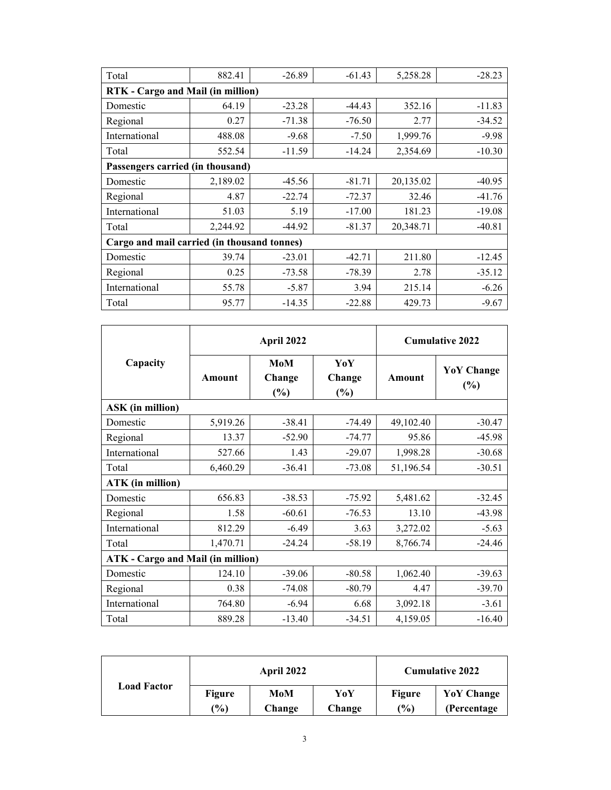| Total                                       | 882.41                           | $-26.89$ | $-61.43$ | 5,258.28  | $-28.23$ |  |  |  |
|---------------------------------------------|----------------------------------|----------|----------|-----------|----------|--|--|--|
| RTK - Cargo and Mail (in million)           |                                  |          |          |           |          |  |  |  |
| Domestic                                    | 64.19                            | $-23.28$ | -44.43   | 352.16    | $-11.83$ |  |  |  |
| Regional                                    | 0.27                             | $-71.38$ | $-76.50$ | 2.77      | $-34.52$ |  |  |  |
| International                               | 488.08                           | $-9.68$  | $-7.50$  | 1,999.76  | $-9.98$  |  |  |  |
| Total                                       | 552.54                           | $-11.59$ | $-14.24$ | 2,354.69  | $-10.30$ |  |  |  |
|                                             | Passengers carried (in thousand) |          |          |           |          |  |  |  |
| Domestic                                    | 2,189.02                         | $-45.56$ | $-81.71$ | 20,135.02 | $-40.95$ |  |  |  |
| Regional                                    | 4.87                             | $-22.74$ | $-72.37$ | 32.46     | $-41.76$ |  |  |  |
| International                               | 51.03                            | 5.19     | $-17.00$ | 181.23    | $-19.08$ |  |  |  |
| Total                                       | 2,244.92                         | $-44.92$ | $-81.37$ | 20,348.71 | $-40.81$ |  |  |  |
| Cargo and mail carried (in thousand tonnes) |                                  |          |          |           |          |  |  |  |
| Domestic                                    | 39.74                            | $-23.01$ | $-42.71$ | 211.80    | $-12.45$ |  |  |  |
| Regional                                    | 0.25                             | $-73.58$ | $-78.39$ | 2.78      | $-35.12$ |  |  |  |
| International                               | 55.78                            | $-5.87$  | 3.94     | 215.14    | $-6.26$  |  |  |  |
| Total                                       | 95.77                            | $-14.35$ | $-22.88$ | 429.73    | $-9.67$  |  |  |  |

|                                          |               | April 2022           |                         |               | <b>Cumulative 2022</b>      |  |  |
|------------------------------------------|---------------|----------------------|-------------------------|---------------|-----------------------------|--|--|
| Capacity                                 | <b>Amount</b> | MoM<br>Change<br>(%) | YoY<br>Change<br>$(\%)$ | <b>Amount</b> | <b>YoY</b> Change<br>$(\%)$ |  |  |
| <b>ASK</b> (in million)                  |               |                      |                         |               |                             |  |  |
| Domestic                                 | 5,919.26      | $-38.41$             | $-74.49$                | 49,102.40     | $-30.47$                    |  |  |
| Regional                                 | 13.37         | $-52.90$             | $-74.77$                | 95.86         | $-45.98$                    |  |  |
| International                            | 527.66        | 1.43                 | $-29.07$                | 1,998.28      | $-30.68$                    |  |  |
| Total                                    | 6,460.29      | $-36.41$             | $-73.08$                | 51,196.54     | $-30.51$                    |  |  |
| <b>ATK</b> (in million)                  |               |                      |                         |               |                             |  |  |
| Domestic                                 | 656.83        | $-38.53$             | $-75.92$                | 5,481.62      | $-32.45$                    |  |  |
| Regional                                 | 1.58          | $-60.61$             | $-76.53$                | 13.10         | $-43.98$                    |  |  |
| International                            | 812.29        | $-6.49$              | 3.63                    | 3,272.02      | $-5.63$                     |  |  |
| Total                                    | 1,470.71      | $-24.24$             | $-58.19$                | 8,766.74      | $-24.46$                    |  |  |
| <b>ATK</b> - Cargo and Mail (in million) |               |                      |                         |               |                             |  |  |
| Domestic                                 | 124.10        | $-39.06$             | $-80.58$                | 1,062.40      | $-39.63$                    |  |  |
| Regional                                 | 0.38          | $-74.08$             | $-80.79$                | 4.47          | $-39.70$                    |  |  |
| International                            | 764.80        | $-6.94$              | 6.68                    | 3,092.18      | $-3.61$                     |  |  |
| Total                                    | 889.28        | $-13.40$             | $-34.51$                | 4,159.05      | $-16.40$                    |  |  |

|                    | <b>April 2022</b> |        |        | <b>Cumulative 2022</b> |              |
|--------------------|-------------------|--------|--------|------------------------|--------------|
| <b>Load Factor</b> | <b>Figure</b>     | MoM    | YoY    | <b>Figure</b>          | YoY Change   |
|                    | $(\%)$            | Change | Change | $\frac{1}{2}$          | (Percentage) |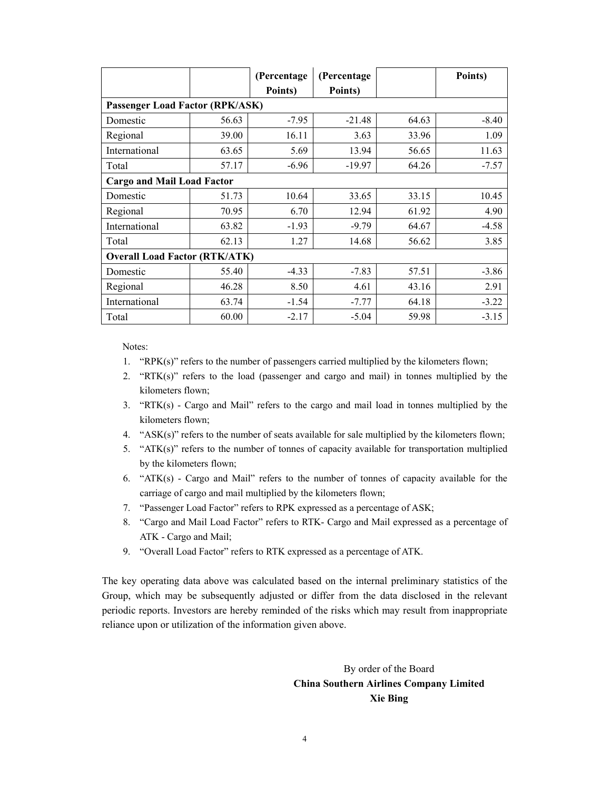|                                      |       | (Percentage | (Percentage |       | Points) |  |
|--------------------------------------|-------|-------------|-------------|-------|---------|--|
|                                      |       | Points)     | Points)     |       |         |  |
| Passenger Load Factor (RPK/ASK)      |       |             |             |       |         |  |
| Domestic                             | 56.63 | $-7.95$     | $-21.48$    | 64.63 | $-8.40$ |  |
| Regional                             | 39.00 | 16.11       | 3.63        | 33.96 | 1.09    |  |
| International                        | 63.65 | 5.69        | 13.94       | 56.65 | 11.63   |  |
| Total                                | 57.17 | $-6.96$     | -19.97      | 64.26 | $-7.57$ |  |
| <b>Cargo and Mail Load Factor</b>    |       |             |             |       |         |  |
| Domestic                             | 51.73 | 10.64       | 33.65       | 33.15 | 10.45   |  |
| Regional                             | 70.95 | 6.70        | 12.94       | 61.92 | 4.90    |  |
| International                        | 63.82 | $-1.93$     | $-9.79$     | 64.67 | $-4.58$ |  |
| Total                                | 62.13 | 1.27        | 14.68       | 56.62 | 3.85    |  |
| <b>Overall Load Factor (RTK/ATK)</b> |       |             |             |       |         |  |
| Domestic                             | 55.40 | $-4.33$     | $-7.83$     | 57.51 | $-3.86$ |  |
| Regional                             | 46.28 | 8.50        | 4.61        | 43.16 | 2.91    |  |
| International                        | 63.74 | $-1.54$     | $-7.77$     | 64.18 | $-3.22$ |  |
| Total                                | 60.00 | $-2.17$     | $-5.04$     | 59.98 | $-3.15$ |  |

Notes:

- 1. "RPK(s)" refers to the number of passengers carried multiplied by the kilometers flown;
- 2. "RTK(s)" refers to the load (passenger and cargo and mail) in tonnes multiplied by the kilometers flown;
- 3. "RTK(s) Cargo and Mail" refers to the cargo and mail load in tonnes multiplied by the kilometers flown;
- 4. " $ASK(s)$ " refers to the number of seats available for sale multiplied by the kilometers flown;
- 5. "ATK(s)" refers to the number of tonnes of capacity available for transportation multiplied by the kilometers flown;
- 6. " $ATK(s)$  Cargo and Mail" refers to the number of tonnes of capacity available for the carriage of cargo and mail multiplied by the kilometers flown;
- 7. "Passenger Load Factor" refers to RPK expressed as a percentage of ASK;
- 8. "Cargo and Mail Load Factor" refers to RTK- Cargo and Mail expressed as a percentage of ATK - Cargo and Mail;
- 9. "Overall Load Factor" refers to RTK expressed as a percentage of ATK.

The key operating data above was calculated based on the internal preliminary statistics of the Group, which may be subsequently adjusted or differ from the data disclosed in the relevant periodic reports. Investors are hereby reminded of the risks which may result from inappropriate reliance upon or utilization of the information given above.

## By order of the Board **China Southern Airlines Company Limited Xie Bing**